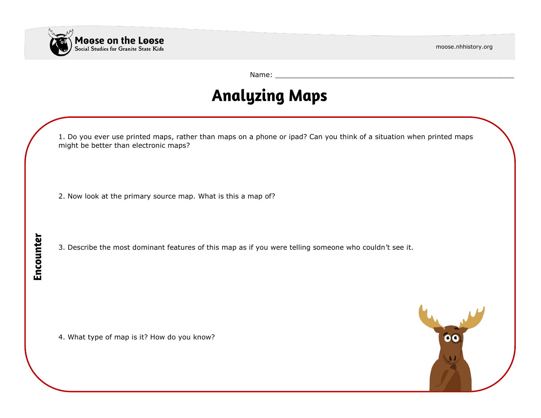

moose.nhhistory.org

Name: \_\_\_\_\_\_\_\_\_\_\_\_\_\_\_\_\_\_\_\_\_\_\_\_\_\_\_\_\_\_\_\_\_\_\_\_\_\_\_\_\_\_\_\_\_\_\_\_\_\_\_\_\_\_\_

## **Analyzing Maps**

|           | 1. Do you ever use printed maps, rather than maps on a phone or ipad? Can you think of a situation when printed maps<br>might be better than electronic maps? |
|-----------|---------------------------------------------------------------------------------------------------------------------------------------------------------------|
|           | 2. Now look at the primary source map. What is this a map of?                                                                                                 |
| Encounter | 3. Describe the most dominant features of this map as if you were telling someone who couldn't see it.                                                        |
|           | 4. What type of map is it? How do you know?<br>$\mathbf{C}$                                                                                                   |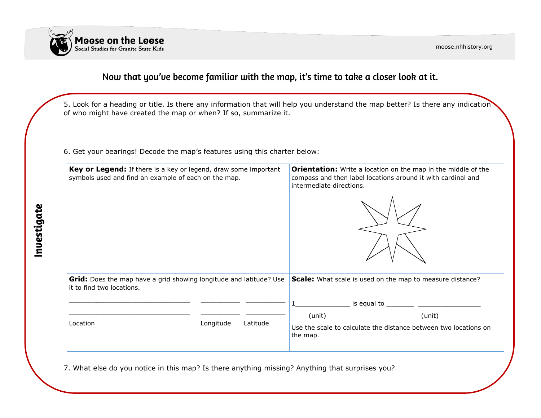

### Now that you've become familiar with the map, it's time to take a closer look at it.

5. Look for a heading or title. Is there any information that will help you understand the map better? Is there any indication of who might have created the map or when? If so, summarize it.

6. Get your bearings! Decode the map's features using this charter below:

| Key or Legend: If there is a key or legend, draw some important<br>symbols used and find an example of each on the map. |                       | <b>Orientation:</b> Write a location on the map in the middle of the<br>compass and then label locations around it with cardinal and<br>intermediate directions. |
|-------------------------------------------------------------------------------------------------------------------------|-----------------------|------------------------------------------------------------------------------------------------------------------------------------------------------------------|
|                                                                                                                         |                       |                                                                                                                                                                  |
|                                                                                                                         |                       |                                                                                                                                                                  |
| Grid: Does the map have a grid showing longitude and latitude? Use<br>it to find two locations.                         |                       | Scale: What scale is used on the map to measure distance?                                                                                                        |
|                                                                                                                         |                       | is equal to $\frac{1}{\sqrt{1-\frac{1}{2}}}\frac{1}{\sqrt{1-\frac{1}{2}}\sqrt{1-\frac{1}{2}}\sqrt{1-\frac{1}{2}}\sqrt{1-\frac{1}{2}}$                            |
| Location                                                                                                                | Longitude<br>Latitude | (unit)<br>(unit)<br>Use the scale to calculate the distance between two locations on<br>the map.                                                                 |

7. What else do you notice in this map? Is there anything missing? Anything that surprises you?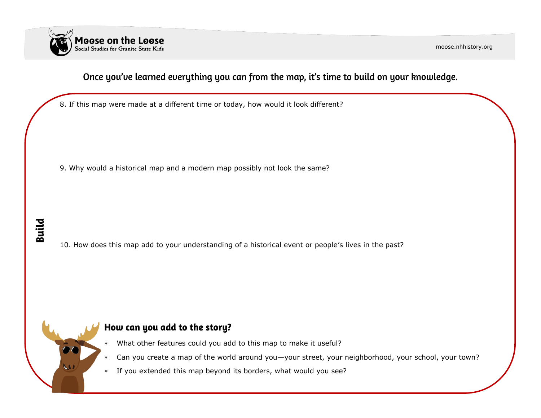

moose.nhhistory.org

### Once you've learned everything you can from the map, it's time to build on your knowledge.

8. If this map were made at a different time or today, how would it look different?

9. Why would a historical map and a modern map possibly not look the same?

# **Build**

10. How does this map add to your understanding of a historical event or people's lives in the past?

### How can you add to the story?

- What other features could you add to this map to make it useful?
- Can you create a map of the world around you—your street, your neighborhood, your school, your town?
- If you extended this map beyond its borders, what would you see?